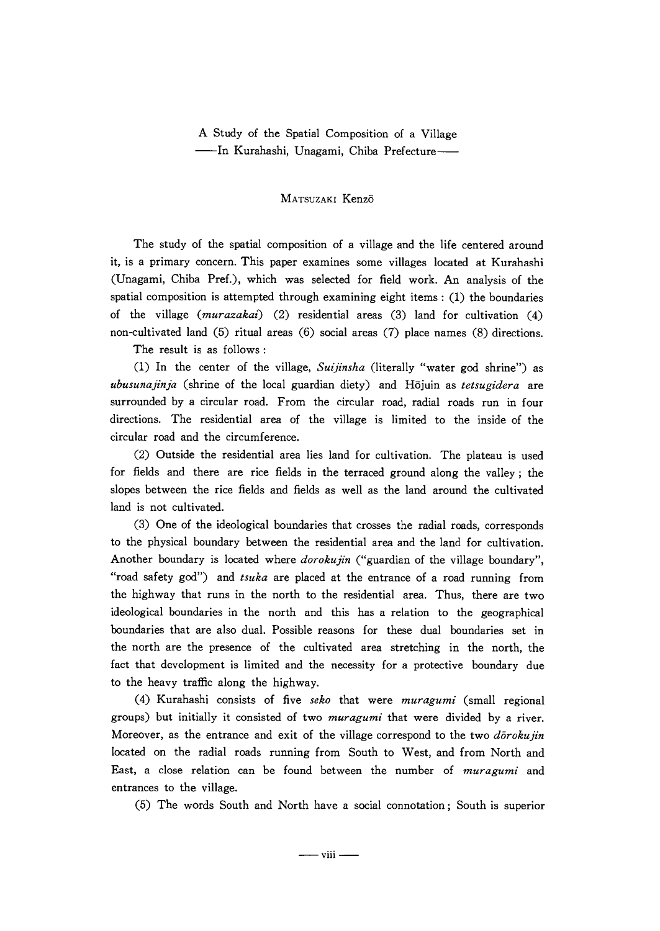AStudy of the Spatial Composition of a Village --In Kurahashi, Unagami, Chiba Prefecture-

## MATsuzAKI Kenz6

 The study of the spatial composition of a village and the life centered around it, is a primary concem. This paper examines some villages located at Kurahashi (Unagami, Chiba Pref.), which was selected for field work. An analysis of the spatial composition is attempted through examining eight items:  $(1)$  the boundaries of the village (murazakai) (2) residential areas (3) land for cultivation (4) non-cultivated land (5) ritual areas (6) social areas (7) place names (8) directions.

The result is as follows:

(1) In the center of the village, Suijinsha (literally "water god shrine") as ubusunajinja (shrine of the local guardian diety) and Hōjuin as tetsugidera are surrounded by a circular road. From the circular road, radial roads run in four directions. The residential area of the village is limited to the inside of the circular road and the circumference.

(2) Outside the residential area lies land for cultivation. The plateau is used for fields and there are rice fields in the terraced ground along the valley; the slopes between the rice fields and fields as well as the land around the cultivated land is not cultivated.

 (3) One of the ideological boundaries that crosses the radial roads, corresponds to the physical boundary between the residential area and the land for cultivation. Another boundary is located where *dorokujin* ("guardian of the village boundary", "road safety god") and tsuka are placed at the entrance of a road running from the highway that runs in the north to the residential area. Thus, there are two ideological boundaries in the north and this has a relation to the geographical boundaries that are also dual. Possible reasons for these dual boundaries set in the north are the presence of the cultivated area stretching in the north, the fact that development is limited and the necessity for a protective boundary due to the heavy traffic along the highway.

(4) Kurahashi consists of five seko that were  $muragumi$  (small regional groups) but initially it consisted of two *muragumi* that were divided by a river. Moreover, as the entrance and exit of the village correspond to the two  $d\bar{o}$ rokujin located on the radial roads running from South to West, and from North and East, a close relation can be found between the number of muragumi and entrances to the village.

(5) The words South and North have a social connotation; South is superior